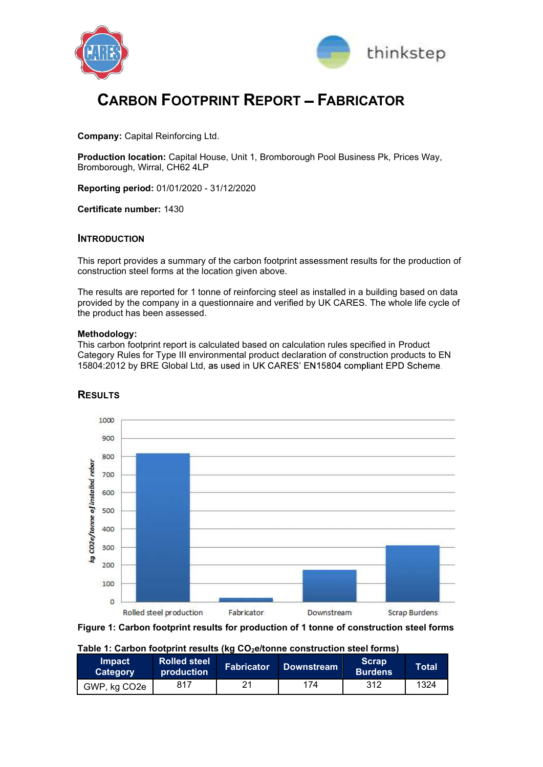



# **CARBON FOOTPRINT REPORT - FABRICATOR**

ENTERN COMPANY REPORT - FABRICATOR<br>
COMPANY: Capital Reinforcing Ltd.<br>
Production location: Capital House, Unit 1, Bromborough Pool Business Pk, Prices Way,<br>
Bromborough, Wirral, CH62 4LP<br>
Reporting period: 01/01/2020 - 31 Production location: Capital House, Unit 1, Bromborough Pool Business Pk, Prices Way, Bromborough, Wirral, CH62 4LP **CARBON FOOTPRINT REPORT — FABRICATOR**<br>
Company: Capital Reinforcing Ltd.<br>
Production location: Capital House, Unit 1, Bromborough Pool Business Pk, Prices Way,<br>
Bromborough, Wirral, CH62 4LP<br>
Reporting period: 01/01/2020

Certificate number: 1430

## INTRODUCTION

This report provides a summary of the carbon footprint assessment results for the production of

CARBON FOOTPRINT REPORT - FABRICATOR<br>
CORREGINE CONSTRAINS CONSTRAINS CONSTRAINS CONSTRAINS CONSTRAINS CONSTRAINS CONSTRAINS CONSTRAINS CONSTRAINS CONSTRAINS CONSTRAINS CONSTRAINS CONSTRAINS (SEE A THE REPORT OF THE RESULT CAREON FOOTPRINT REPORT — FABRICATOR<br>
COMPANY: Capital Reinforcing Ltd.<br>
Production location: Capital House, Unit 1, Bromborough Pool Business Pk, Prices Way,<br>
Bromborough, Wirral, CH62 4LP<br>
Reporting period: 01/01/2020 provided by the company in a questionnaire and verified by UK CARES. The whole life cycle of the product has been assessed. Company: Capital Reinforcing Ltd.<br>
Production location: Capital House, Unit 1, Bromborough Pool Business Pk, Prices Way,<br>
Bromborough, Wilral, CH62 4LP<br> **Reporting period:** 01/01/2020 - 31/12/2020<br> **Certificate number: 143** 

#### Methodology:

This carbon footprint report is calculated based on calculation rules specified in Product 15804:2012 by BRE Global Ltd, as used in UK CARES' EN15804 compliant EPD Scheme.



## **RESULTS**



Table 1: Carbon footprint results (kg CO<sub>2</sub>e/tonne construction steel forms)

| <b>Impact</b><br><b>Category</b> | <b>Rolled steel</b><br>production | Fabricator <sup>1</sup> | Downstream <sup>1</sup> | <b>Scrap</b><br><b>Burdens</b> | <b>Total</b> |
|----------------------------------|-----------------------------------|-------------------------|-------------------------|--------------------------------|--------------|
| GWP, kg CO2e                     | 817                               | 2 <sup>1</sup>          | 174                     | 312                            | 1324         |